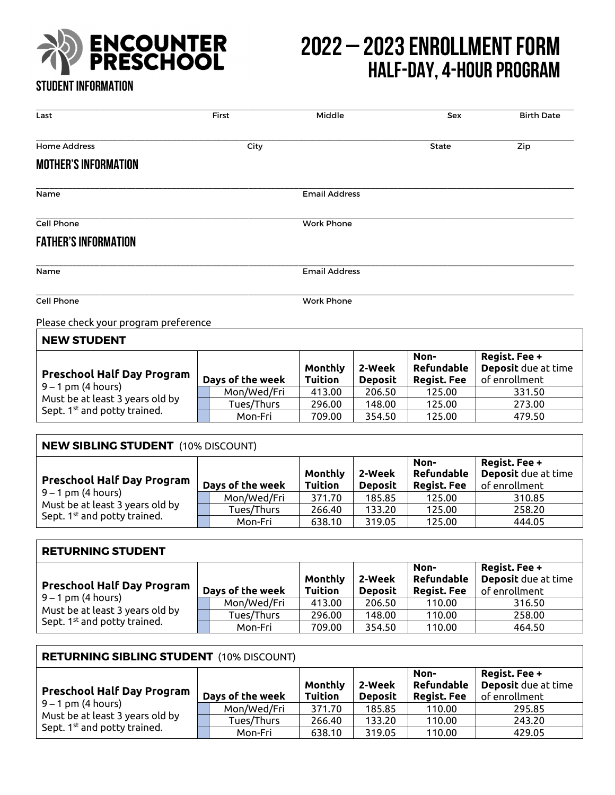

## **ENCOUNTER** 2022 – 2023 ENROLLMENT FORM<br>
PRESCHOOL HALF-NAV 4-HOUR PROGRAM  **Half-day, 4-hour program**

## **Student information**

| Last                                                                                                                                     | First                | Middle                    |                          | Sex                                             | <b>Birth Date</b>                                     |
|------------------------------------------------------------------------------------------------------------------------------------------|----------------------|---------------------------|--------------------------|-------------------------------------------------|-------------------------------------------------------|
| <b>Home Address</b>                                                                                                                      | City                 |                           |                          | <b>State</b>                                    | Zip                                                   |
| <b>MOTHER'S INFORMATION</b>                                                                                                              |                      |                           |                          |                                                 |                                                       |
| Name                                                                                                                                     |                      | <b>Email Address</b>      |                          |                                                 |                                                       |
| <b>Cell Phone</b>                                                                                                                        |                      | <b>Work Phone</b>         |                          |                                                 |                                                       |
| <b>FATHER'S INFORMATION</b>                                                                                                              |                      |                           |                          |                                                 |                                                       |
| Name                                                                                                                                     | <b>Email Address</b> |                           |                          |                                                 |                                                       |
| <b>Cell Phone</b>                                                                                                                        | <b>Work Phone</b>    |                           |                          |                                                 |                                                       |
| Please check your program preference                                                                                                     |                      |                           |                          |                                                 |                                                       |
| <b>NEW STUDENT</b>                                                                                                                       |                      |                           |                          |                                                 |                                                       |
| <b>Preschool Half Day Program</b><br>$9 - 1$ pm (4 hours)<br>Must be at least 3 years old by<br>Sept. 1 <sup>st</sup> and potty trained. | Days of the week     | Monthly<br><b>Tuition</b> | 2-Week<br><b>Deposit</b> | Non-<br><b>Refundable</b><br><b>Regist. Fee</b> | Regist. Fee +<br>Deposit due at time<br>of enrollment |
|                                                                                                                                          | Mon/Wed/Fri          | 413.00                    | 206.50                   | 125.00                                          | 331.50                                                |
|                                                                                                                                          | Tues/Thurs           | 296.00                    | 148.00                   | 125.00                                          | 273.00                                                |
|                                                                                                                                          | Mon-Fri              | 709.00                    | 354.50                   | 125.00                                          | 479.50                                                |

| <b>NEW SIBLING STUDENT</b> (10% DISCOUNT)                                                                                                |                  |                           |                          |                                          |                                                       |
|------------------------------------------------------------------------------------------------------------------------------------------|------------------|---------------------------|--------------------------|------------------------------------------|-------------------------------------------------------|
| <b>Preschool Half Day Program</b><br>$9 - 1$ pm (4 hours)<br>Must be at least 3 years old by<br>Sept. 1 <sup>st</sup> and potty trained. | Days of the week | Monthly<br><b>Tuition</b> | 2-Week<br><b>Deposit</b> | Non-<br>Refundable<br><b>Regist. Fee</b> | Regist. Fee +<br>Deposit due at time<br>of enrollment |
|                                                                                                                                          | Mon/Wed/Fri      | 371.70                    | 185.85                   | 125.00                                   | 310.85                                                |
|                                                                                                                                          | Tues/Thurs       | 266.40                    | 133.20                   | 125.00                                   | 258.20                                                |
|                                                                                                                                          | Mon-Fri          | 638.10                    | 319.05                   | 125.00                                   | 444.05                                                |

| <b>RETURNING STUDENT</b>                                                                                                                 |                  |                           |                          |                                                 |                                                       |
|------------------------------------------------------------------------------------------------------------------------------------------|------------------|---------------------------|--------------------------|-------------------------------------------------|-------------------------------------------------------|
| <b>Preschool Half Day Program</b><br>$9 - 1$ pm (4 hours)<br>Must be at least 3 years old by<br>Sept. 1 <sup>st</sup> and potty trained. | Days of the week | Monthly<br><b>Tuition</b> | 2-Week<br><b>Deposit</b> | Non-<br><b>Refundable</b><br><b>Regist. Fee</b> | Regist. Fee +<br>Deposit due at time<br>of enrollment |
|                                                                                                                                          | Mon/Wed/Fri      | 413.00                    | 206.50                   | 110.00                                          | 316.50                                                |
|                                                                                                                                          | Tues/Thurs       | 296.00                    | 148.00                   | 110.00                                          | 258.00                                                |
|                                                                                                                                          | Mon-Fri          | 709.00                    | 354.50                   | 110.00                                          | 464.50                                                |

| <b>RETURNING SIBLING STUDENT (10% DISCOUNT)</b>                                                                                          |  |                  |                                  |                          |                                          |                                                       |
|------------------------------------------------------------------------------------------------------------------------------------------|--|------------------|----------------------------------|--------------------------|------------------------------------------|-------------------------------------------------------|
| <b>Preschool Half Day Program</b><br>$9 - 1$ pm (4 hours)<br>Must be at least 3 years old by<br>Sept. 1 <sup>st</sup> and potty trained. |  | Days of the week | <b>Monthly</b><br><b>Tuition</b> | 2-Week<br><b>Deposit</b> | Non-<br>Refundable<br><b>Regist. Fee</b> | Regist. Fee +<br>Deposit due at time<br>of enrollment |
|                                                                                                                                          |  | Mon/Wed/Fri      | 371.70                           | 185.85                   | 110.00                                   | 295.85                                                |
|                                                                                                                                          |  | Tues/Thurs       | 266.40                           | 133.20                   | 110.00                                   | 243.20                                                |
|                                                                                                                                          |  | Mon-Fri          | 638.10                           | 319.05                   | 110.00                                   | 429.05                                                |